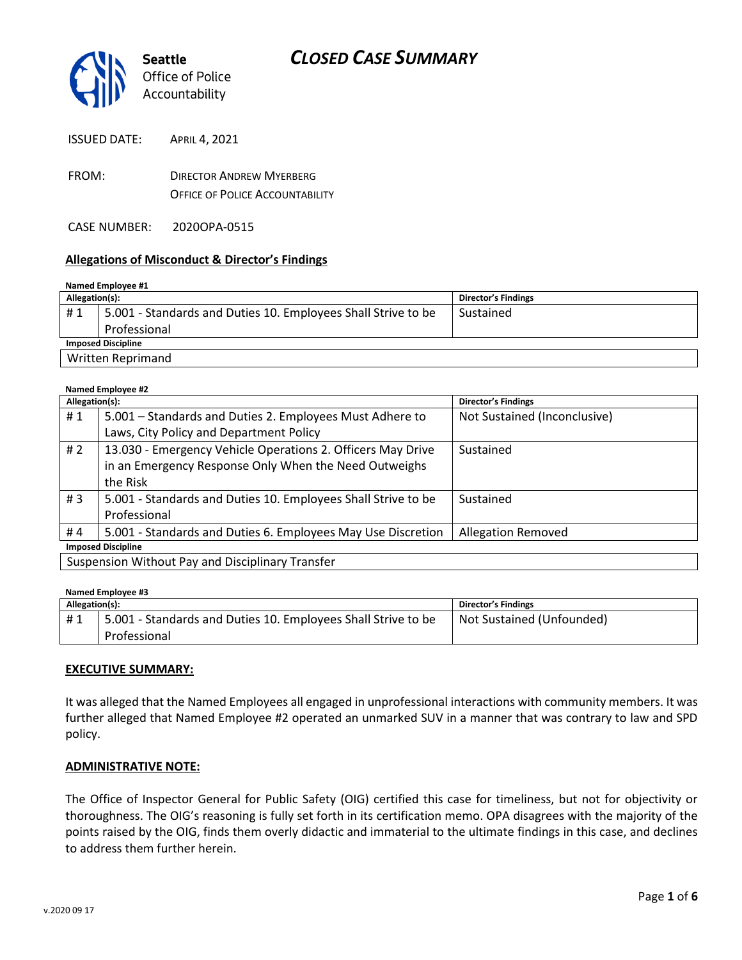

| <b>ISSUED DATE:</b> | APRIL 4, 2021 |
|---------------------|---------------|
|                     |               |

FROM: DIRECTOR ANDREW MYERBERG OFFICE OF POLICE ACCOUNTABILITY

CASE NUMBER: 2020OPA-0515

#### **Allegations of Misconduct & Director's Findings**

| Named Employee #1         |                                                               |                     |  |  |
|---------------------------|---------------------------------------------------------------|---------------------|--|--|
| Allegation(s):            |                                                               | Director's Findings |  |  |
| #1                        | 5.001 - Standards and Duties 10. Employees Shall Strive to be | Sustained           |  |  |
|                           | Professional                                                  |                     |  |  |
| <b>Imposed Discipline</b> |                                                               |                     |  |  |
|                           | <b>Written Reprimand</b>                                      |                     |  |  |

#### **Named Employee #2**

| Allegation(s):            |                                                               | <b>Director's Findings</b>   |
|---------------------------|---------------------------------------------------------------|------------------------------|
| #1                        | 5.001 – Standards and Duties 2. Employees Must Adhere to      | Not Sustained (Inconclusive) |
|                           | Laws, City Policy and Department Policy                       |                              |
| #2                        | 13.030 - Emergency Vehicle Operations 2. Officers May Drive   | Sustained                    |
|                           | in an Emergency Response Only When the Need Outweighs         |                              |
|                           | the Risk                                                      |                              |
| #3                        | 5.001 - Standards and Duties 10. Employees Shall Strive to be | Sustained                    |
|                           | Professional                                                  |                              |
| #4                        | 5.001 - Standards and Duties 6. Employees May Use Discretion  | <b>Allegation Removed</b>    |
| <b>Imposed Discipline</b> |                                                               |                              |
|                           | Susnansion Without Day and Disciplinary Transfer              |                              |

Suspension Without Pay and Disciplinary Transfer

#### **Named Employee #3**

| Allegation(s): |                                                               | <b>Director's Findings</b> |
|----------------|---------------------------------------------------------------|----------------------------|
| #1             | 5.001 - Standards and Duties 10. Employees Shall Strive to be | Not Sustained (Unfounded)  |
|                | Professional                                                  |                            |

#### **EXECUTIVE SUMMARY:**

It was alleged that the Named Employees all engaged in unprofessional interactions with community members. It was further alleged that Named Employee #2 operated an unmarked SUV in a manner that was contrary to law and SPD policy.

#### **ADMINISTRATIVE NOTE:**

The Office of Inspector General for Public Safety (OIG) certified this case for timeliness, but not for objectivity or thoroughness. The OIG's reasoning is fully set forth in its certification memo. OPA disagrees with the majority of the points raised by the OIG, finds them overly didactic and immaterial to the ultimate findings in this case, and declines to address them further herein.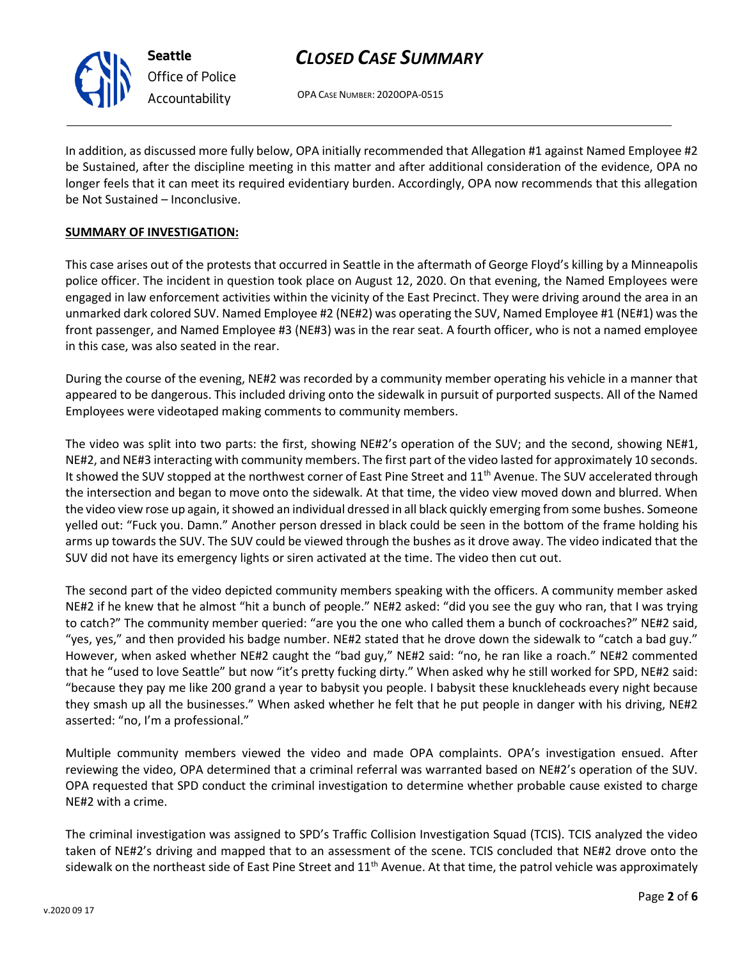

OPA CASE NUMBER: 2020OPA-0515

In addition, as discussed more fully below, OPA initially recommended that Allegation #1 against Named Employee #2 be Sustained, after the discipline meeting in this matter and after additional consideration of the evidence, OPA no longer feels that it can meet its required evidentiary burden. Accordingly, OPA now recommends that this allegation be Not Sustained – Inconclusive.

### **SUMMARY OF INVESTIGATION:**

This case arises out of the protests that occurred in Seattle in the aftermath of George Floyd's killing by a Minneapolis police officer. The incident in question took place on August 12, 2020. On that evening, the Named Employees were engaged in law enforcement activities within the vicinity of the East Precinct. They were driving around the area in an unmarked dark colored SUV. Named Employee #2 (NE#2) was operating the SUV, Named Employee #1 (NE#1) was the front passenger, and Named Employee #3 (NE#3) was in the rear seat. A fourth officer, who is not a named employee in this case, was also seated in the rear.

During the course of the evening, NE#2 was recorded by a community member operating his vehicle in a manner that appeared to be dangerous. This included driving onto the sidewalk in pursuit of purported suspects. All of the Named Employees were videotaped making comments to community members.

The video was split into two parts: the first, showing NE#2's operation of the SUV; and the second, showing NE#1, NE#2, and NE#3 interacting with community members. The first part of the video lasted for approximately 10 seconds. It showed the SUV stopped at the northwest corner of East Pine Street and 11<sup>th</sup> Avenue. The SUV accelerated through the intersection and began to move onto the sidewalk. At that time, the video view moved down and blurred. When the video view rose up again, it showed an individual dressed in all black quickly emerging from some bushes. Someone yelled out: "Fuck you. Damn." Another person dressed in black could be seen in the bottom of the frame holding his arms up towards the SUV. The SUV could be viewed through the bushes as it drove away. The video indicated that the SUV did not have its emergency lights or siren activated at the time. The video then cut out.

The second part of the video depicted community members speaking with the officers. A community member asked NE#2 if he knew that he almost "hit a bunch of people." NE#2 asked: "did you see the guy who ran, that I was trying to catch?" The community member queried: "are you the one who called them a bunch of cockroaches?" NE#2 said, "yes, yes," and then provided his badge number. NE#2 stated that he drove down the sidewalk to "catch a bad guy." However, when asked whether NE#2 caught the "bad guy," NE#2 said: "no, he ran like a roach." NE#2 commented that he "used to love Seattle" but now "it's pretty fucking dirty." When asked why he still worked for SPD, NE#2 said: "because they pay me like 200 grand a year to babysit you people. I babysit these knuckleheads every night because they smash up all the businesses." When asked whether he felt that he put people in danger with his driving, NE#2 asserted: "no, I'm a professional."

Multiple community members viewed the video and made OPA complaints. OPA's investigation ensued. After reviewing the video, OPA determined that a criminal referral was warranted based on NE#2's operation of the SUV. OPA requested that SPD conduct the criminal investigation to determine whether probable cause existed to charge NE#2 with a crime.

The criminal investigation was assigned to SPD's Traffic Collision Investigation Squad (TCIS). TCIS analyzed the video taken of NE#2's driving and mapped that to an assessment of the scene. TCIS concluded that NE#2 drove onto the sidewalk on the northeast side of East Pine Street and  $11<sup>th</sup>$  Avenue. At that time, the patrol vehicle was approximately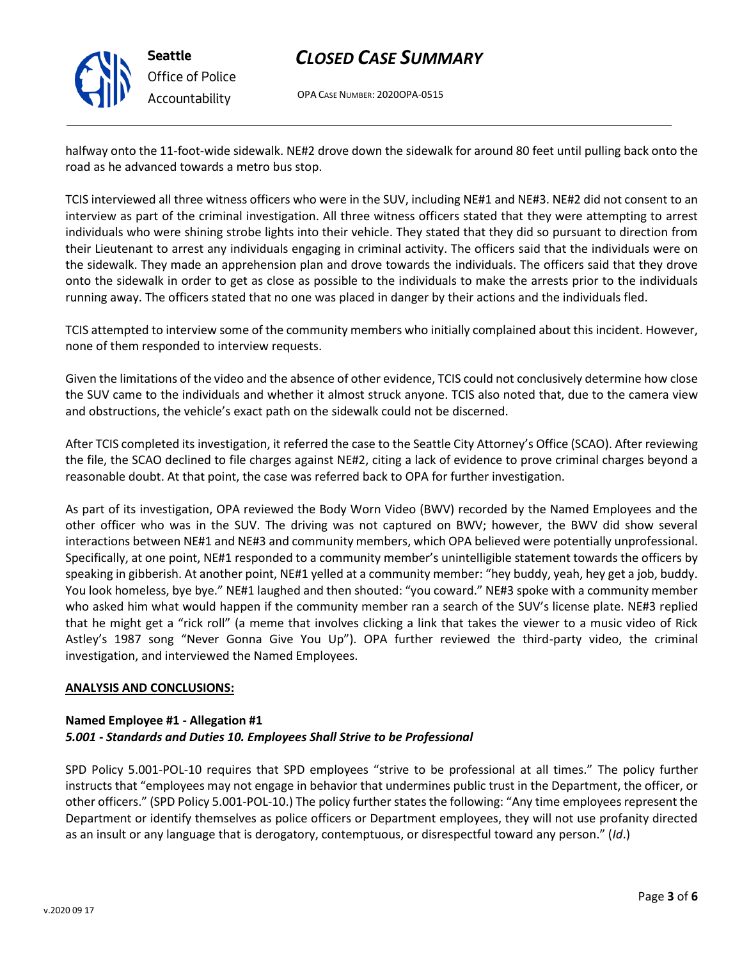

OPA CASE NUMBER: 2020OPA-0515

halfway onto the 11-foot-wide sidewalk. NE#2 drove down the sidewalk for around 80 feet until pulling back onto the road as he advanced towards a metro bus stop.

TCIS interviewed all three witness officers who were in the SUV, including NE#1 and NE#3. NE#2 did not consent to an interview as part of the criminal investigation. All three witness officers stated that they were attempting to arrest individuals who were shining strobe lights into their vehicle. They stated that they did so pursuant to direction from their Lieutenant to arrest any individuals engaging in criminal activity. The officers said that the individuals were on the sidewalk. They made an apprehension plan and drove towards the individuals. The officers said that they drove onto the sidewalk in order to get as close as possible to the individuals to make the arrests prior to the individuals running away. The officers stated that no one was placed in danger by their actions and the individuals fled.

TCIS attempted to interview some of the community members who initially complained about this incident. However, none of them responded to interview requests.

Given the limitations of the video and the absence of other evidence, TCIS could not conclusively determine how close the SUV came to the individuals and whether it almost struck anyone. TCIS also noted that, due to the camera view and obstructions, the vehicle's exact path on the sidewalk could not be discerned.

After TCIS completed its investigation, it referred the case to the Seattle City Attorney's Office (SCAO). After reviewing the file, the SCAO declined to file charges against NE#2, citing a lack of evidence to prove criminal charges beyond a reasonable doubt. At that point, the case was referred back to OPA for further investigation.

As part of its investigation, OPA reviewed the Body Worn Video (BWV) recorded by the Named Employees and the other officer who was in the SUV. The driving was not captured on BWV; however, the BWV did show several interactions between NE#1 and NE#3 and community members, which OPA believed were potentially unprofessional. Specifically, at one point, NE#1 responded to a community member's unintelligible statement towards the officers by speaking in gibberish. At another point, NE#1 yelled at a community member: "hey buddy, yeah, hey get a job, buddy. You look homeless, bye bye." NE#1 laughed and then shouted: "you coward." NE#3 spoke with a community member who asked him what would happen if the community member ran a search of the SUV's license plate. NE#3 replied that he might get a "rick roll" (a meme that involves clicking a link that takes the viewer to a music video of Rick Astley's 1987 song "Never Gonna Give You Up"). OPA further reviewed the third-party video, the criminal investigation, and interviewed the Named Employees.

### **ANALYSIS AND CONCLUSIONS:**

### **Named Employee #1 - Allegation #1** *5.001 - Standards and Duties 10. Employees Shall Strive to be Professional*

SPD Policy 5.001-POL-10 requires that SPD employees "strive to be professional at all times." The policy further instructs that "employees may not engage in behavior that undermines public trust in the Department, the officer, or other officers." (SPD Policy 5.001-POL-10.) The policy further states the following: "Any time employees represent the Department or identify themselves as police officers or Department employees, they will not use profanity directed as an insult or any language that is derogatory, contemptuous, or disrespectful toward any person." (*Id*.)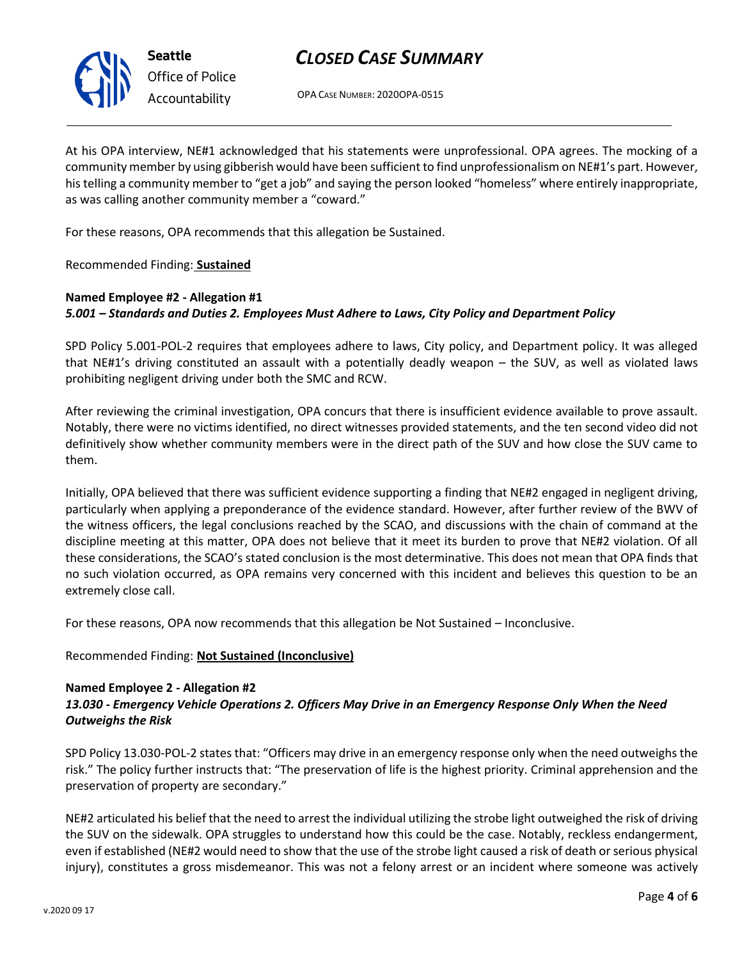

**Seattle** *Office of Police Accountability*

# *CLOSED CASE SUMMARY*

OPA CASE NUMBER: 2020OPA-0515

At his OPA interview, NE#1 acknowledged that his statements were unprofessional. OPA agrees. The mocking of a community member by using gibberish would have been sufficient to find unprofessionalism on NE#1's part. However, his telling a community member to "get a job" and saying the person looked "homeless" where entirely inappropriate, as was calling another community member a "coward."

For these reasons, OPA recommends that this allegation be Sustained.

Recommended Finding: **Sustained**

## **Named Employee #2 - Allegation #1** *5.001 – Standards and Duties 2. Employees Must Adhere to Laws, City Policy and Department Policy*

SPD Policy 5.001-POL-2 requires that employees adhere to laws, City policy, and Department policy. It was alleged that NE#1's driving constituted an assault with a potentially deadly weapon – the SUV, as well as violated laws prohibiting negligent driving under both the SMC and RCW.

After reviewing the criminal investigation, OPA concurs that there is insufficient evidence available to prove assault. Notably, there were no victims identified, no direct witnesses provided statements, and the ten second video did not definitively show whether community members were in the direct path of the SUV and how close the SUV came to them.

Initially, OPA believed that there was sufficient evidence supporting a finding that NE#2 engaged in negligent driving, particularly when applying a preponderance of the evidence standard. However, after further review of the BWV of the witness officers, the legal conclusions reached by the SCAO, and discussions with the chain of command at the discipline meeting at this matter, OPA does not believe that it meet its burden to prove that NE#2 violation. Of all these considerations, the SCAO's stated conclusion is the most determinative. This does not mean that OPA finds that no such violation occurred, as OPA remains very concerned with this incident and believes this question to be an extremely close call.

For these reasons, OPA now recommends that this allegation be Not Sustained – Inconclusive.

### Recommended Finding: **Not Sustained (Inconclusive)**

### **Named Employee 2 - Allegation #2** *13.030 - Emergency Vehicle Operations 2. Officers May Drive in an Emergency Response Only When the Need Outweighs the Risk*

SPD Policy 13.030-POL-2 states that: "Officers may drive in an emergency response only when the need outweighs the risk." The policy further instructs that: "The preservation of life is the highest priority. Criminal apprehension and the preservation of property are secondary."

NE#2 articulated his belief that the need to arrest the individual utilizing the strobe light outweighed the risk of driving the SUV on the sidewalk. OPA struggles to understand how this could be the case. Notably, reckless endangerment, even if established (NE#2 would need to show that the use of the strobe light caused a risk of death or serious physical injury), constitutes a gross misdemeanor. This was not a felony arrest or an incident where someone was actively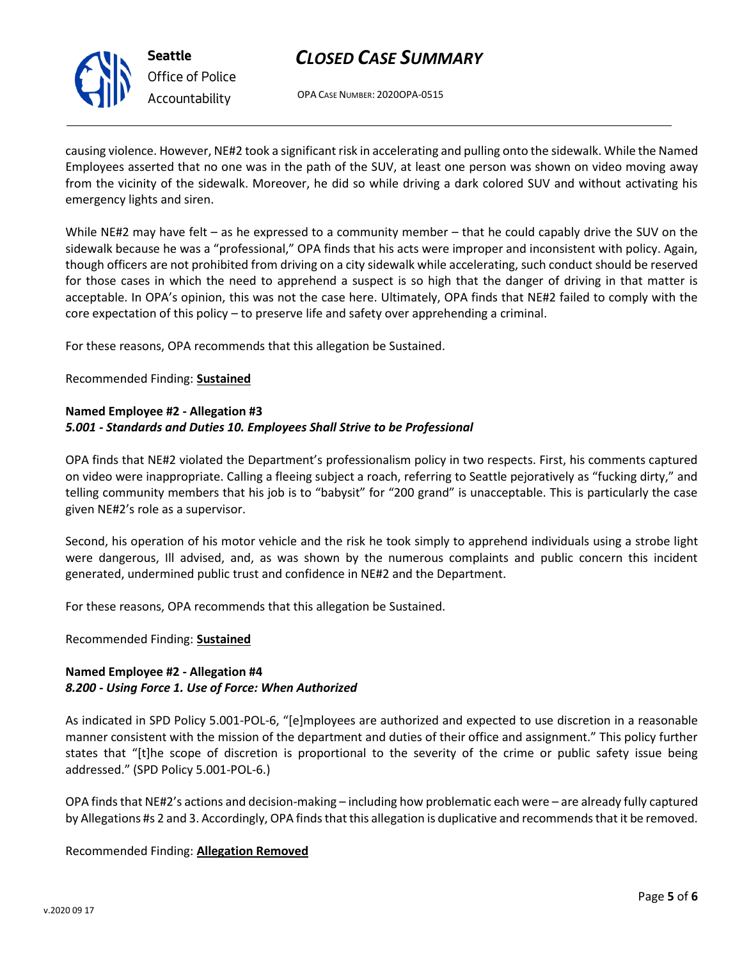

OPA CASE NUMBER: 2020OPA-0515

causing violence. However, NE#2 took a significant risk in accelerating and pulling onto the sidewalk. While the Named Employees asserted that no one was in the path of the SUV, at least one person was shown on video moving away from the vicinity of the sidewalk. Moreover, he did so while driving a dark colored SUV and without activating his emergency lights and siren.

While NE#2 may have felt – as he expressed to a community member – that he could capably drive the SUV on the sidewalk because he was a "professional," OPA finds that his acts were improper and inconsistent with policy. Again, though officers are not prohibited from driving on a city sidewalk while accelerating, such conduct should be reserved for those cases in which the need to apprehend a suspect is so high that the danger of driving in that matter is acceptable. In OPA's opinion, this was not the case here. Ultimately, OPA finds that NE#2 failed to comply with the core expectation of this policy – to preserve life and safety over apprehending a criminal.

For these reasons, OPA recommends that this allegation be Sustained.

Recommended Finding: **Sustained**

### **Named Employee #2 - Allegation #3** *5.001 - Standards and Duties 10. Employees Shall Strive to be Professional*

OPA finds that NE#2 violated the Department's professionalism policy in two respects. First, his comments captured on video were inappropriate. Calling a fleeing subject a roach, referring to Seattle pejoratively as "fucking dirty," and telling community members that his job is to "babysit" for "200 grand" is unacceptable. This is particularly the case given NE#2's role as a supervisor.

Second, his operation of his motor vehicle and the risk he took simply to apprehend individuals using a strobe light were dangerous, Ill advised, and, as was shown by the numerous complaints and public concern this incident generated, undermined public trust and confidence in NE#2 and the Department.

For these reasons, OPA recommends that this allegation be Sustained.

Recommended Finding: **Sustained**

### **Named Employee #2 - Allegation #4** *8.200 - Using Force 1. Use of Force: When Authorized*

As indicated in SPD Policy 5.001-POL-6, "[e]mployees are authorized and expected to use discretion in a reasonable manner consistent with the mission of the department and duties of their office and assignment." This policy further states that "[t]he scope of discretion is proportional to the severity of the crime or public safety issue being addressed." (SPD Policy 5.001-POL-6.)

OPA finds that NE#2's actions and decision-making – including how problematic each were – are already fully captured by Allegations #s 2 and 3. Accordingly, OPA finds that this allegation is duplicative and recommends that it be removed.

Recommended Finding: **Allegation Removed**